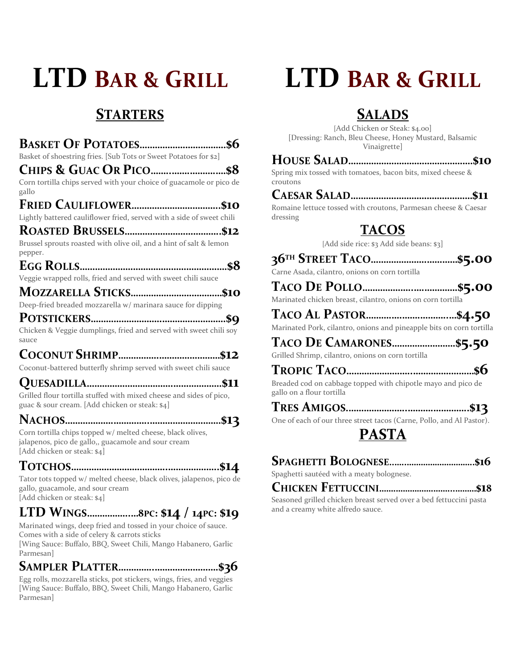# **LTD BAR & GRILL**

# **STARTERS**

| Basket of shoestring fries. [Sub Tots or Sweet Potatoes for \$2]                                                                                 |
|--------------------------------------------------------------------------------------------------------------------------------------------------|
|                                                                                                                                                  |
| Corn tortilla chips served with your choice of guacamole or pico de<br>gallo                                                                     |
|                                                                                                                                                  |
| Lightly battered cauliflower fried, served with a side of sweet chili                                                                            |
|                                                                                                                                                  |
| Brussel sprouts roasted with olive oil, and a hint of salt & lemon<br>pepper.                                                                    |
|                                                                                                                                                  |
| Veggie wrapped rolls, fried and served with sweet chili sauce                                                                                    |
|                                                                                                                                                  |
| Deep-fried breaded mozzarella w/ marinara sauce for dipping                                                                                      |
|                                                                                                                                                  |
| Chicken & Veggie dumplings, fried and served with sweet chili soy<br>sauce                                                                       |
|                                                                                                                                                  |
| Coconut-battered butterfly shrimp served with sweet chili sauce                                                                                  |
|                                                                                                                                                  |
| Grilled flour tortilla stuffed with mixed cheese and sides of pico,<br>guac & sour cream. [Add chicken or steak: \$4]                            |
|                                                                                                                                                  |
| Corn tortilla chips topped w/ melted cheese, black olives,<br>jalapenos, pico de gallo,, guacamole and sour cream<br>[Add chicken or steak: \$4] |
|                                                                                                                                                  |
| Tator tots topped w/ melted cheese, black olives, jalapenos, pico de<br>gallo, guacamole, and sour cream<br>[Add chicken or steak: \$4]          |
| LTD WINGS8PC: \$14 / 14PC: \$19                                                                                                                  |

Marinated wings, deep fried and tossed in your choice of sauce. Comes with a side of celery & carrots sticks [Wing Sauce: Buffalo, BBQ, Sweet Chili, Mango Habanero, Garlic

Parmesan]

# **SAMPLER PLATTER…………..…………………….\$36**

Egg rolls, mozzarella sticks, pot stickers, wings, fries, and veggies [Wing Sauce: Buffalo, BBQ, Sweet Chili, Mango Habanero, Garlic Parmesan]

# **LTD BAR & GRILL**

# **SALADS**

[Add Chicken or Steak: \$4.00] [Dressing: Ranch, Bleu Cheese, Honey Mustard, Balsamic Vinaigrette]

### **HOUSE SALAD………………………………………….\$10**

Spring mix tossed with tomatoes, bacon bits, mixed cheese & croutons

### **CAESAR SALAD…………………………………………\$11**

Romaine lettuce tossed with croutons, Parmesan cheese & Caesar dressing

# **TACOS**

[Add side rice: \$3 Add side beans: \$3]

| Carne Asada, cilantro, onions on corn tortilla |  |
|------------------------------------------------|--|

Marinated chicken breast, cilantro, onions on corn tortilla

**TACO A<sup>L</sup> PASTOR……….….…….………..…\$4.50** Marinated Pork, cilantro, onions and pineapple bits on corn tortilla

# **TACO D<sup>E</sup> CAMARONES…………………….\$5.50**

Grilled Shrimp, cilantro, onions on corn tortilla

# **TROPIC TACO……………………..……………………\$6**

Breaded cod on cabbage topped with chipotle mayo and pico de gallo on a flour tortilla

# **TRES AMIGOS.…………………..……….…………..\$13**

One of each of our three street tacos (Carne, Pollo, and Al Pastor).

# **PASTA**

|--|--|

Spaghetti sautéed with a meaty bolognese.

### **CHICKEN FETTUCCINI…….…………….……...………\$18**

Seasoned grilled chicken breast served over a bed fettuccini pasta and a creamy white alfredo sauce.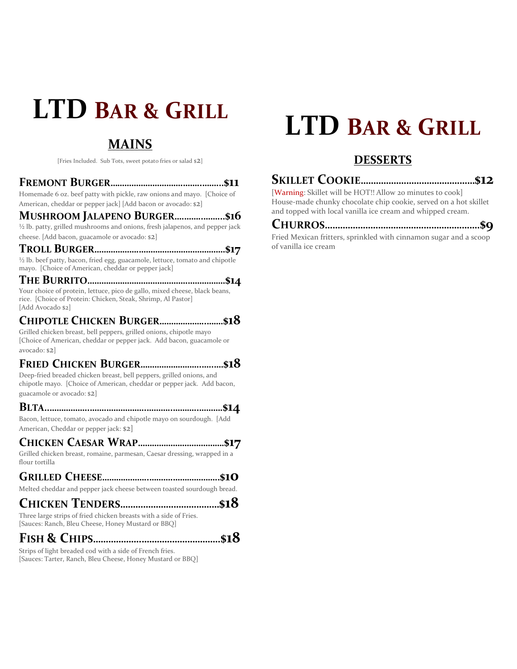# **LTD BAR & GRILL**

# **MAINS**

[Fries Included. Sub Tots, sweet potato fries or salad \$2]

#### **FREMONT BURGER………………………….……..……...\$11**

Homemade 6 oz. beef patty with pickle, raw onions and mayo. [Choice of American, cheddar or pepper jack] [Add bacon or avocado: \$2]

#### **MUSHROOM JALAPENO BURGER….……..……...\$16**

<sup>1</sup>/<sub>2</sub> lb. patty, grilled mushrooms and onions, fresh jalapenos, and pepper jack cheese. [Add bacon, guacamole or avocado: \$2]

**TROLL BURGER……………….……………………………….\$17** <sup>1</sup>/<sub>2</sub> lb. beef patty, bacon, fried egg, guacamole, lettuce, tomato and chipotle mayo. [Choice of American, cheddar or pepper jack]

**THE BURRITO…………………………………….…………….\$14** Your choice of protein, lettuce, pico de gallo, mixed cheese, black beans, rice. [Choice of Protein: Chicken, Steak, Shrimp, Al Pastor] [Add Avocado \$2]

# **CHIPOTLE CHICKEN BURGER………………..…….\$18**

Grilled chicken breast, bell peppers, grilled onions, chipotle mayo [Choice of American, cheddar or pepper jack. Add bacon, guacamole or avocado: \$2]

#### **FRIED CHICKEN BURGER……………………..…..….\$18**

Deep-fried breaded chicken breast, bell peppers, grilled onions, and chipotle mayo. [Choice of American, cheddar or pepper jack. Add bacon, guacamole or avocado: \$2]

#### **BLTA..……………..…….……………..………..………..……….\$14**

Bacon, lettuce, tomato, avocado and chipotle mayo on sourdough. [Add American, Cheddar or pepper jack: \$2]

### **CHICKEN CAESAR WRAP……………………………….\$17**

Grilled chicken breast, romaine, parmesan, Caesar dressing, wrapped in a flour tortilla

#### **GRILLED CHEESE………………..……….………………..\$10**

Melted cheddar and pepper jack cheese between toasted sourdough bread.

## **CHICKEN TENDERS…………………………………\$18**

Three large strips of fried chicken breasts with a side of Fries. [Sauces: Ranch, Bleu Cheese, Honey Mustard or BBQ]

# **FISH & CHIPS……………….………………………….\$18**

Strips of light breaded cod with a side of French fries. [Sauces: Tarter, Ranch, Bleu Cheese, Honey Mustard or BBQ]

# **LTD BAR & GRILL**

# **DESSERTS**

# **SKILLET COOKIE………………………………………\$12**

[Warning: Skillet will be HOT!! Allow 20 minutes to cook] House-made chunky chocolate chip cookie, served on a hot skillet and topped with local vanilla ice cream and whipped cream.

### **CHURROS…………………………………………………….\$9**

Fried Mexican fritters, sprinkled with cinnamon sugar and a scoop of vanilla ice cream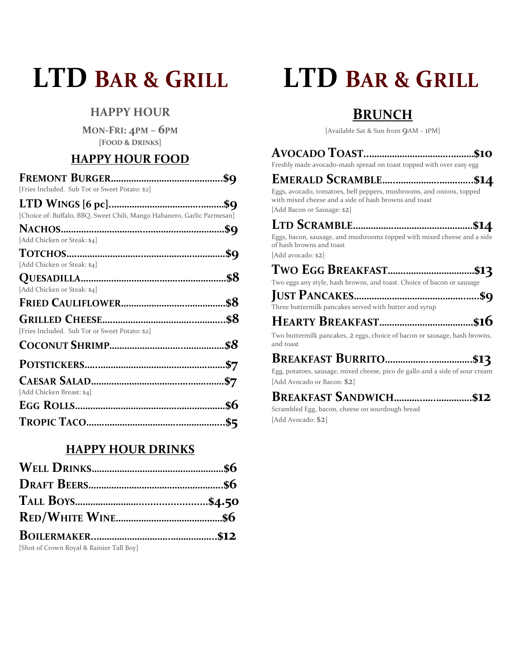# **LTD BAR & GRILL**

# **HAPPY HOUR**

**MON-FRI: 4PM – 6PM [FOOD & DRINKS]**

# **HAPPY HOUR FOOD**

| [Fries Included. Sub Tot or Sweet Potato: \$2]                          |     |
|-------------------------------------------------------------------------|-----|
|                                                                         |     |
| [Choice of: Buffalo, BBQ, Sweet Chili, Mango Habanero, Garlic Parmesan] |     |
|                                                                         |     |
| [Add Chicken or Steak: \$4]                                             |     |
|                                                                         |     |
| [Add Chicken or Steak: \$4]                                             |     |
|                                                                         |     |
| [Add Chicken or Steak: \$4]                                             |     |
|                                                                         |     |
|                                                                         |     |
| [Fries Included. Sub Tot or Sweet Potato: \$2]                          |     |
|                                                                         | \$8 |
|                                                                         |     |
|                                                                         | \$7 |
| [Add Chicken Breast: \$4]                                               |     |
|                                                                         |     |
|                                                                         |     |

### **HAPPY HOUR DRINKS**

| [Shot of Crown Royal & Rainier Tall Boy] |  |
|------------------------------------------|--|

# **LTD BAR & GRILL**

# **BRUNCH**

[Available Sat & Sun from 9AM – 1PM]

| Freshly made avocado-mash spread on toast topped with over easy egg                                                           |
|-------------------------------------------------------------------------------------------------------------------------------|
|                                                                                                                               |
| Eggs, avocado, tomatoes, bell peppers, mushrooms, and onions, topped<br>with mixed cheese and a side of hash browns and toast |
| [Add Bacon or Sausage: \$2]                                                                                                   |
|                                                                                                                               |
| Eggs, bacon, sausage, and mushrooms topped with mixed cheese and a side<br>of hash browns and toast                           |
| [Add avocado: \$2]                                                                                                            |
|                                                                                                                               |
| Two eggs any style, hash browns, and toast. Choice of bacon or sausage                                                        |
| <b>LUCT DAMARTIC</b>                                                                                                          |

**JUST PANCAKES……………………………………..…..\$9** Three buttermilk pancakes served with butter and syrup

# **HEARTY BREAKFAST……………………………….\$16**

Two buttermilk pancakes, 2 eggs, choice of bacon or sausage, hash browns, and toast

# **BREAKFAST BURRITO……………..……………..\$13**

Egg, potatoes, sausage, mixed cheese, pico de gallo and a side of sour cream [Add Avocado or Bacon: \$2]

## **BREAKFAST SANDWICH………..…..…………..\$12**

Scrambled Egg, bacon, cheese on sourdough bread [Add Avocado: \$2]